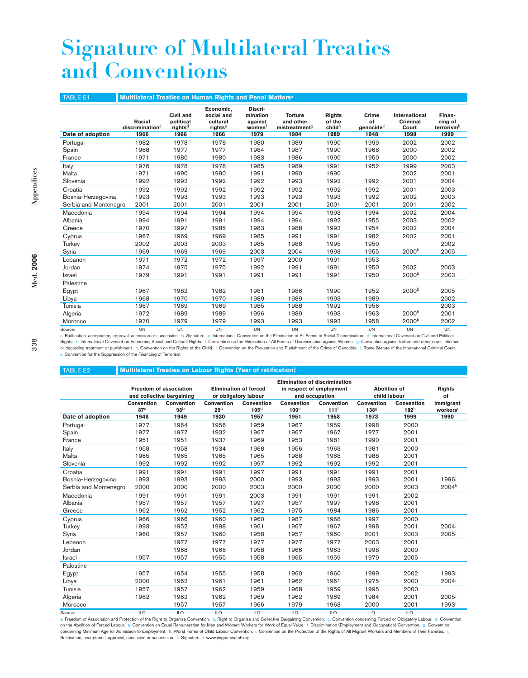## **Signature of Multilateral Treaties and Conventions**

| <b>TABLE E1</b>       | Multilateral Treaties on Human Rights and Penal Matters <sup>a</sup> |                                                       |                                                                    |                                                 |                                                                  |                                           |                                               |                                                   |                                            |
|-----------------------|----------------------------------------------------------------------|-------------------------------------------------------|--------------------------------------------------------------------|-------------------------------------------------|------------------------------------------------------------------|-------------------------------------------|-----------------------------------------------|---------------------------------------------------|--------------------------------------------|
| Date of adoption      | Racial<br>discription <sup>c</sup><br>1966                           | Civil and<br>political<br>rights <sup>d</sup><br>1966 | Economic,<br>social and<br>cultural<br>rights <sup>e</sup><br>1966 | Discri-<br>mination<br>against<br>women<br>1979 | <b>Torture</b><br>and other<br>mistreatment <sup>9</sup><br>1984 | <b>Rights</b><br>of the<br>childh<br>1989 | Crime<br>of<br>genocide <sup>it</sup><br>1948 | <b>International</b><br>Criminal<br>Court<br>1998 | Finan-<br>cing of<br>terrorism $k$<br>1999 |
| Portugal              | 1982                                                                 | 1978                                                  | 1978                                                               | 1980                                            | 1989                                                             | 1990                                      | 1999                                          | 2002                                              | 2002                                       |
| Spain                 | 1968                                                                 | 1977                                                  | 1977                                                               | 1984                                            | 1987                                                             | 1990                                      | 1968                                          | 2000                                              | 2002                                       |
| France                | 1971                                                                 | 1980                                                  | 1980                                                               | 1983                                            | 1986                                                             | 1990                                      | 1950                                          | 2000                                              | 2002                                       |
| Italy                 | 1976                                                                 | 1978                                                  | 1978                                                               | 1985                                            | 1989                                                             | 1991                                      | 1952                                          | 1999                                              | 2003                                       |
| Malta                 | 1971                                                                 | 1990                                                  | 1990                                                               | 1991                                            | 1990                                                             | 1990                                      |                                               | 2002                                              | 2001                                       |
| Slovenia              | 1992                                                                 | 1992                                                  | 1992                                                               | 1992                                            | 1993                                                             | 1992                                      | 1992                                          | 2001                                              | 2004                                       |
| Croatia               | 1992                                                                 | 1992                                                  | 1992                                                               | 1992                                            | 1992                                                             | 1992                                      | 1992                                          | 2001                                              | 2003                                       |
| Bosnia-Herzegovina    | 1993                                                                 | 1993                                                  | 1993                                                               | 1993                                            | 1993                                                             | 1993                                      | 1992                                          | 2002                                              | 2003                                       |
| Serbia and Montenegro | 2001                                                                 | 2001                                                  | 2001                                                               | 2001                                            | 2001                                                             | 2001                                      | 2001                                          | 2001                                              | 2002                                       |
| Macedonia             | 1994                                                                 | 1994                                                  | 1994                                                               | 1994                                            | 1994                                                             | 1993                                      | 1994                                          | 2002                                              | 2004                                       |
| Albania               | 1994                                                                 | 1991                                                  | 1991                                                               | 1994                                            | 1994                                                             | 1992                                      | 1955                                          | 2003                                              | 2002                                       |
| Greece                | 1970                                                                 | 1997                                                  | 1985                                                               | 1983                                            | 1988                                                             | 1993                                      | 1954                                          | 2002                                              | 2004                                       |
| Cyprus                | 1967                                                                 | 1969                                                  | 1969                                                               | 1985                                            | 1991                                                             | 1991                                      | 1982                                          | 2002                                              | 2001                                       |
| Turkey                | 2002                                                                 | 2003                                                  | 2003                                                               | 1985                                            | 1988                                                             | 1995                                      | 1950                                          |                                                   | 2002                                       |
| Syria                 | 1969                                                                 | 1969                                                  | 1969                                                               | 2003                                            | 2004                                                             | 1993                                      | 1955                                          | 2000 <sup>b</sup>                                 | 2005                                       |
| Lebanon               | 1971                                                                 | 1972                                                  | 1972                                                               | 1997                                            | 2000                                                             | 1991                                      | 1953                                          |                                                   |                                            |
| Jordan                | 1974                                                                 | 1975                                                  | 1975                                                               | 1992                                            | 1991                                                             | 1991                                      | 1950                                          | 2002                                              | 2003                                       |
| Israel                | 1979                                                                 | 1991                                                  | 1991                                                               | 1991                                            | 1991                                                             | 1991                                      | 1950                                          | 2000 <sup>b</sup>                                 | 2003                                       |
| Palestine             |                                                                      |                                                       |                                                                    |                                                 |                                                                  |                                           |                                               |                                                   |                                            |
| Egypt                 | 1967                                                                 | 1982                                                  | 1982                                                               | 1981                                            | 1986                                                             | 1990                                      | 1952                                          | 2000 <sup>b</sup>                                 | 2005                                       |
| Libya                 | 1968                                                                 | 1970                                                  | 1970                                                               | 1989                                            | 1989                                                             | 1993                                      | 1989                                          |                                                   | 2002                                       |
| Tunisia               | 1967                                                                 | 1969                                                  | 1969                                                               | 1985                                            | 1988                                                             | 1992                                      | 1956                                          |                                                   | 2003                                       |
| Algeria               | 1972                                                                 | 1989                                                  | 1989                                                               | 1996                                            | 1989                                                             | 1993                                      | 1963                                          | 2000 <sup>b</sup>                                 | 2001                                       |
| Morocco               | 1970                                                                 | 1979                                                  | 1979                                                               | 1993                                            | 1993                                                             | 1993                                      | 1958                                          | 2000 <sup>b</sup>                                 | 2002                                       |
| Source:               | <b>TIN</b>                                                           | <b>TIN</b>                                            | <b>TIN</b>                                                         | <b>IIN</b>                                      | <b>TIN</b>                                                       | <b>TIN</b>                                | <b>TIN</b>                                    | <b>TIN</b>                                        | <b>IIN</b>                                 |

Source: UN UN UN UN UN UN UN UN UN a. Ratification, acceptance, approval, accession or succession. b. Signature. c. International Convention on the Elimination of All Forms of Racial Discrimination. d. International Covenant on Civil and Political Rights. e. International Covenant on Economic, Social and Cultural Rights. f. Convention on the Elimination of All Forms of Discrimination against Women. g. Convention against torture and other cruel, inhuman or degrading treatment or punishment. h. Convention on the Rights of the Child. i. Convention on the Prevention and Punishment of the Crime of Genocide. j. Rome Statute of the International Criminal Court. k. Convention for the Suppression of the Financing of Terrorism.

## TABLE E2 **Multilateral Treaties on Labour Rights (Year of ratification)**

|                           | <b>Freedom of association</b><br>and collective bargaining |                         | <b>Elimination of forced</b><br>or obligatory labour |                                | <b>Elimination of discrimination</b><br>in respect of employment<br>and occupation |                          | <b>Abolition of</b><br>child labour |                 | <b>Rights</b><br>of |
|---------------------------|------------------------------------------------------------|-------------------------|------------------------------------------------------|--------------------------------|------------------------------------------------------------------------------------|--------------------------|-------------------------------------|-----------------|---------------------|
|                           | Convention                                                 | <b>Convention</b>       | Convention                                           | Convention                     | Convention                                                                         | Convention               | Convention                          | Convention      | immigrant           |
| Date of adoption          | 87 <sup>a</sup><br>1948                                    | 98 <sup>b</sup><br>1949 | $29^\circ$<br>1930                                   | 105 <sup>d</sup><br>1957       | 100 <sup>e</sup><br>1951                                                           | 111 <sup>f</sup><br>1958 | 1389<br>1973                        | $182^h$<br>1999 | workers<br>1990     |
|                           |                                                            |                         |                                                      |                                |                                                                                    |                          |                                     |                 |                     |
| Portugal                  | 1977                                                       | 1964                    | 1956                                                 | 1959                           | 1967                                                                               | 1959                     | 1998                                | 2000            |                     |
| Spain                     | 1977                                                       | 1977                    | 1932                                                 | 1967                           | 1967                                                                               | 1967                     | 1977                                | 2001            |                     |
| France                    | 1951                                                       | 1951                    | 1937                                                 | 1969                           | 1953                                                                               | 1981                     | 1990                                | 2001            |                     |
| Italy                     | 1958                                                       | 1958                    | 1934                                                 | 1968                           | 1956                                                                               | 1963                     | 1981                                | 2000            |                     |
| Malta                     | 1965                                                       | 1965                    | 1965                                                 | 1965                           | 1988                                                                               | 1968                     | 1988                                | 2001            |                     |
| Slovenia                  | 1992                                                       | 1992                    | 1992                                                 | 1997                           | 1992                                                                               | 1992                     | 1992                                | 2001            |                     |
| Croatia                   | 1991                                                       | 1991                    | 1991                                                 | 1997                           | 1991                                                                               | 1991                     | 1991                                | 2001            |                     |
| Bosnia-Herzegovina        | 1993                                                       | 1993                    | 1993                                                 | 2000                           | 1993                                                                               | 1993                     | 1993                                | 2001            | 1996 <sup>j</sup>   |
| Serbia and Montenegro     | 2000                                                       | 2000                    | 2000                                                 | 2003                           | 2000                                                                               | 2000                     | 2000                                | 2003            | $2004^{k}$          |
| Macedonia                 | 1991                                                       | 1991                    | 1991                                                 | 2003                           | 1991                                                                               | 1991                     | 1991                                | 2002            |                     |
| Albania                   | 1957                                                       | 1957                    | 1957                                                 | 1997                           | 1957                                                                               | 1997                     | 1998                                | 2001            |                     |
| Greece                    | 1962                                                       | 1962                    | 1952                                                 | 1962                           | 1975                                                                               | 1984                     | 1986                                | 2001            |                     |
| Cyprus                    | 1966                                                       | 1966                    | 1960                                                 | 1960                           | 1987                                                                               | 1968                     | 1997                                | 2000            |                     |
| Turkey                    | 1993                                                       | 1952                    | 1998                                                 | 1961                           | 1967                                                                               | 1967                     | 1998                                | 2001            | $2004^{j}$          |
| Syria                     | 1960                                                       | 1957                    | 1960                                                 | 1958                           | 1957                                                                               | 1960                     | 2001                                | 2003            | 2005 <sup>j</sup>   |
| Lebanon                   |                                                            | 1977                    | 1977                                                 | 1977                           | 1977                                                                               | 1977                     | 2003                                | 2001            |                     |
| Jordan                    |                                                            | 1968                    | 1966                                                 | 1958                           | 1966                                                                               | 1963                     | 1998                                | 2000            |                     |
| <b>Israel</b>             | 1957                                                       | 1957                    | 1955                                                 | 1958                           | 1965                                                                               | 1959                     | 1979                                | 2005            |                     |
| Palestine                 |                                                            |                         |                                                      |                                |                                                                                    |                          |                                     |                 |                     |
| Egypt                     | 1957                                                       | 1954                    | 1955                                                 | 1958                           | 1960                                                                               | 1960                     | 1999                                | 2002            | 1993 <sup>j</sup>   |
| Libya                     | 2000                                                       | 1962                    | 1961                                                 | 1961                           | 1962                                                                               | 1961                     | 1975                                | 2000            | $2004^{j}$          |
| Tunisia                   | 1957                                                       | 1957                    | 1962                                                 | 1959                           | 1968                                                                               | 1959                     | 1995                                | 2000            |                     |
| Algeria                   | 1962                                                       | 1962                    | 1962                                                 | 1969                           | 1962                                                                               | 1969                     | 1984                                | 2001            | $2005^{\rm j}$      |
| Morocco                   |                                                            | 1957                    | 1957                                                 | 1966                           | 1979                                                                               | 1963                     | 2000                                | 2001            | 1993 <sup>j</sup>   |
| $O_{\text{a}:\text{max}}$ | $\mathbb{R}$                                               | $\mathbb{R}$            | $\mathbb{R}$                                         | $\overline{11}$ $\overline{1}$ | $\mathbb{R}$                                                                       | $\mathbb{R}$             | $\overline{11}$                     | $\mathbb{R}$    |                     |

Source: ILO ILO ILO ILO ILO ILO ILO ILO <sup>l</sup> a. Freedom of Association and Protection of the Right to Organise Convention. b. Right to Organise and Collective Bargaining Convention. c. Convention concerning Forced or Obligatory Labour. d. Convention on the Abolition of Forced Labour. e. Convention on Equal Remuneration for Men and Women Workers for Work of Equal Value. f. Discrimination (Employment and Occupation) Convention. g. Convention concerning Minimum Age for Admission to Employment. h. Worst Forms of Child Labour Convention. i. Convention on the Protection of the Rights of All Migrant Workers and Members of Their Families. i. Ratification, acceptance, approval, accession or succession. k. Signature. I. www.migrantwatch.org